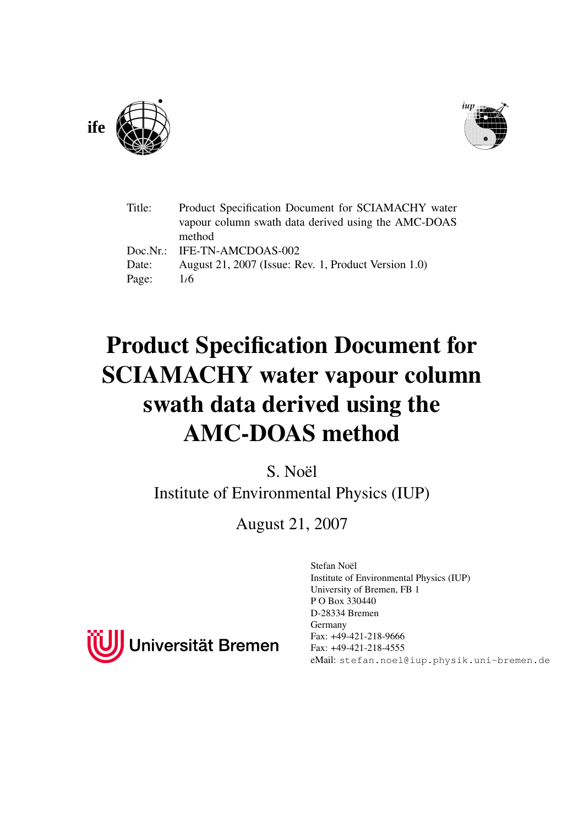



| Title: | Product Specification Document for SCIAMACHY water   |
|--------|------------------------------------------------------|
|        | vapour column swath data derived using the AMC-DOAS  |
|        | method                                               |
|        | Doc.Nr.: IFE-TN-AMCDOAS-002                          |
| Date:  | August 21, 2007 (Issue: Rev. 1, Product Version 1.0) |
| Page:  | 1/6                                                  |

# Product Specification Document for SCIAMACHY water vapour column swath data derived using the AMC-DOAS method

S. Noël Institute of Environmental Physics (IUP)

August 21, 2007



Stefan Noël Institute of Environmental Physics (IUP) University of Bremen, FB 1 P O Box 330440 D-28334 Bremen Germany Fax: +49-421-218-9666 Fax: +49-421-218-4555 eMail: stefan.noel@iup.physik.uni-bremen.de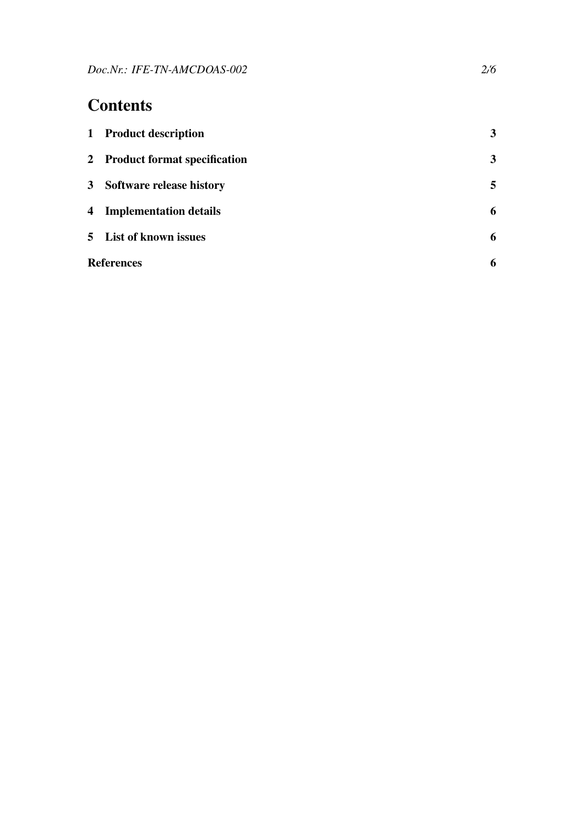## **Contents**

| $\mathbf{1}$ | <b>Product description</b>     | $\mathbf{3}$ |
|--------------|--------------------------------|--------------|
|              | 2 Product format specification | $\mathbf{3}$ |
|              | 3 Software release history     | 5            |
|              | 4 Implementation details       | 6            |
|              | 5 List of known issues         | 6            |
|              | <b>References</b>              |              |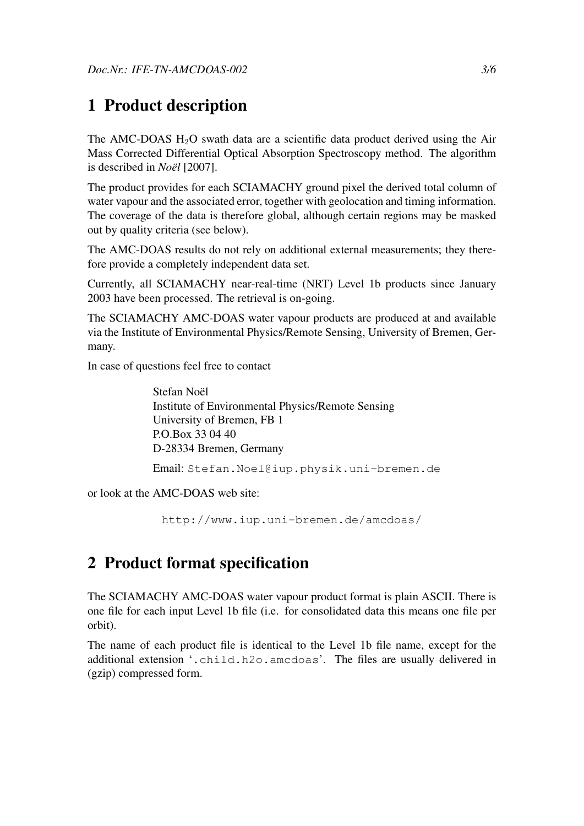## <span id="page-2-0"></span>1 Product description

The AMC-DOAS  $H_2O$  swath data are a scientific data product derived using the Air Mass Corrected Differential Optical Absorption Spectroscopy method. The algorithm is described in *[Noël](#page-5-4)* [\[2007\]](#page-5-4).

The product provides for each SCIAMACHY ground pixel the derived total column of water vapour and the associated error, together with geolocation and timing information. The coverage of the data is therefore global, although certain regions may be masked out by quality criteria (see below).

The AMC-DOAS results do not rely on additional external measurements; they therefore provide a completely independent data set.

Currently, all SCIAMACHY near-real-time (NRT) Level 1b products since January 2003 have been processed. The retrieval is on-going.

The SCIAMACHY AMC-DOAS water vapour products are produced at and available via the Institute of Environmental Physics/Remote Sensing, University of Bremen, Germany.

In case of questions feel free to contact

Stefan Noël Institute of Environmental Physics/Remote Sensing University of Bremen, FB 1 P.O.Box 33 04 40 D-28334 Bremen, Germany Email: Stefan.Noel@iup.physik.uni-bremen.de

or look at the AMC-DOAS web site:

http://www.iup.uni-bremen.de/amcdoas/

### <span id="page-2-1"></span>2 Product format specification

The SCIAMACHY AMC-DOAS water vapour product format is plain ASCII. There is one file for each input Level 1b file (i.e. for consolidated data this means one file per orbit).

The name of each product file is identical to the Level 1b file name, except for the additional extension '.child.h2o.amcdoas'. The files are usually delivered in (gzip) compressed form.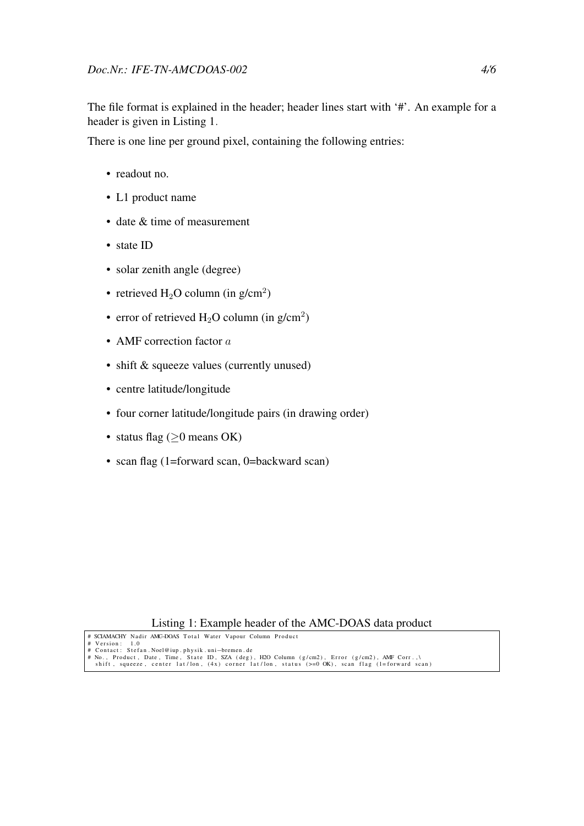The file format is explained in the header; header lines start with '#'. An example for a header is given in Listing [1.](#page-3-0)

There is one line per ground pixel, containing the following entries:

- readout no.
- L1 product name
- date & time of measurement
- state ID
- solar zenith angle (degree)
- retrieved  $H_2O$  column (in  $g/cm^2$ )
- error of retrieved  $H_2O$  column (in  $g/cm^2$ )
- AMF correction factor a
- shift & squeeze values (currently unused)
- centre latitude/longitude
- four corner latitude/longitude pairs (in drawing order)
- status flag ( $>0$  means OK)
- scan flag (1=forward scan, 0=backward scan)

Listing 1: Example header of the AMC-DOAS data product

- <span id="page-3-0"></span># SCIAMACHY Nadir AMC-DOAS Total Water Vapour Column Product
- # Version: 1.0<br># Contact: Stefan.Noel@iup.physik.uni—bremen.de
- # No., Product, Date, Time, State ID, SZA (deg), H2O Column (g/cm2), Error (g/cm2), AMF Corr.,\<br>shift, squeeze, center lat/lon, (4x) corner lat/lon, status (>=0 OK), scan flag (1=forward scan)
-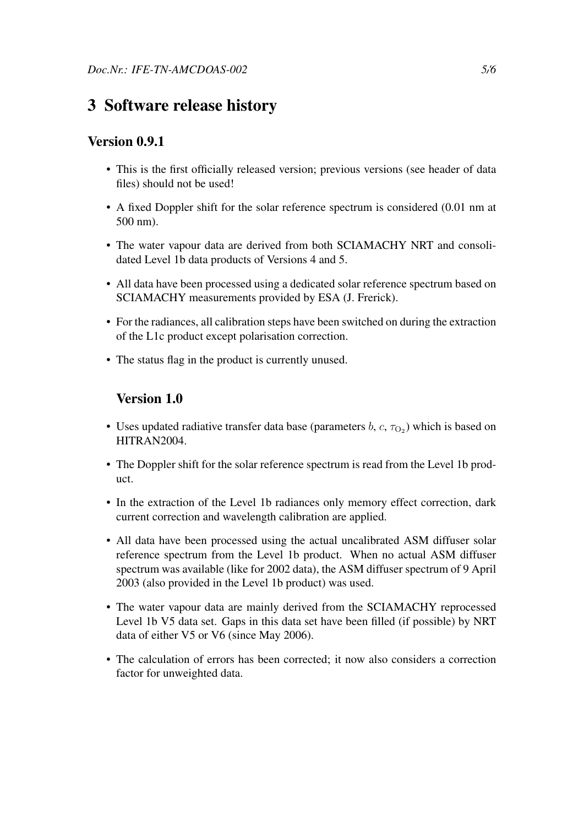## <span id="page-4-0"></span>3 Software release history

#### Version 0.9.1

- This is the first officially released version; previous versions (see header of data files) should not be used!
- A fixed Doppler shift for the solar reference spectrum is considered (0.01 nm at 500 nm).
- The water vapour data are derived from both SCIAMACHY NRT and consolidated Level 1b data products of Versions 4 and 5.
- All data have been processed using a dedicated solar reference spectrum based on SCIAMACHY measurements provided by ESA (J. Frerick).
- For the radiances, all calibration steps have been switched on during the extraction of the L1c product except polarisation correction.
- The status flag in the product is currently unused.

#### Version 1.0

- Uses updated radiative transfer data base (parameters  $b, c, \tau_{Q_2}$ ) which is based on HITRAN2004.
- The Doppler shift for the solar reference spectrum is read from the Level 1b product.
- In the extraction of the Level 1b radiances only memory effect correction, dark current correction and wavelength calibration are applied.
- All data have been processed using the actual uncalibrated ASM diffuser solar reference spectrum from the Level 1b product. When no actual ASM diffuser spectrum was available (like for 2002 data), the ASM diffuser spectrum of 9 April 2003 (also provided in the Level 1b product) was used.
- The water vapour data are mainly derived from the SCIAMACHY reprocessed Level 1b V5 data set. Gaps in this data set have been filled (if possible) by NRT data of either V5 or V6 (since May 2006).
- The calculation of errors has been corrected; it now also considers a correction factor for unweighted data.